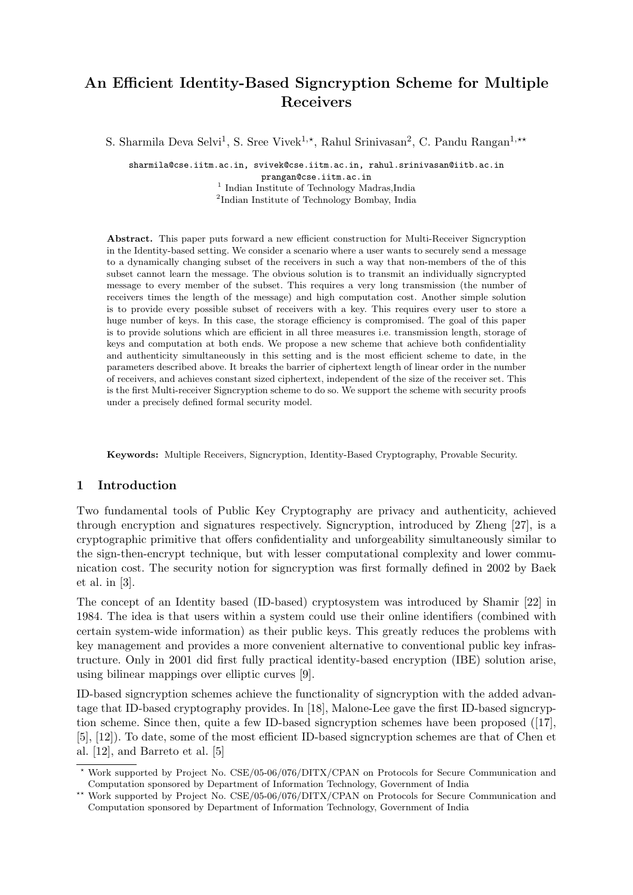# An Efficient Identity-Based Signcryption Scheme for Multiple Receivers

S. Sharmila Deva Selvi<sup>1</sup>, S. Sree Vivek<sup>1,\*</sup>, Rahul Srinivasan<sup>2</sup>, C. Pandu Rangan<sup>1,\*\*</sup>

sharmila@cse.iitm.ac.in, svivek@cse.iitm.ac.in, rahul.srinivasan@iitb.ac.in prangan@cse.iitm.ac.in <sup>1</sup> Indian Institute of Technology Madras, India 2 Indian Institute of Technology Bombay, India

Abstract. This paper puts forward a new efficient construction for Multi-Receiver Signcryption in the Identity-based setting. We consider a scenario where a user wants to securely send a message to a dynamically changing subset of the receivers in such a way that non-members of the of this subset cannot learn the message. The obvious solution is to transmit an individually signcrypted message to every member of the subset. This requires a very long transmission (the number of receivers times the length of the message) and high computation cost. Another simple solution is to provide every possible subset of receivers with a key. This requires every user to store a huge number of keys. In this case, the storage efficiency is compromised. The goal of this paper is to provide solutions which are efficient in all three measures i.e. transmission length, storage of keys and computation at both ends. We propose a new scheme that achieve both confidentiality and authenticity simultaneously in this setting and is the most efficient scheme to date, in the parameters described above. It breaks the barrier of ciphertext length of linear order in the number of receivers, and achieves constant sized ciphertext, independent of the size of the receiver set. This is the first Multi-receiver Signcryption scheme to do so. We support the scheme with security proofs under a precisely defined formal security model.

Keywords: Multiple Receivers, Signcryption, Identity-Based Cryptography, Provable Security.

# 1 Introduction

Two fundamental tools of Public Key Cryptography are privacy and authenticity, achieved through encryption and signatures respectively. Signcryption, introduced by Zheng [27], is a cryptographic primitive that offers confidentiality and unforgeability simultaneously similar to the sign-then-encrypt technique, but with lesser computational complexity and lower communication cost. The security notion for signcryption was first formally defined in 2002 by Baek et al. in [3].

The concept of an Identity based (ID-based) cryptosystem was introduced by Shamir [22] in 1984. The idea is that users within a system could use their online identifiers (combined with certain system-wide information) as their public keys. This greatly reduces the problems with key management and provides a more convenient alternative to conventional public key infrastructure. Only in 2001 did first fully practical identity-based encryption (IBE) solution arise, using bilinear mappings over elliptic curves [9].

ID-based signcryption schemes achieve the functionality of signcryption with the added advantage that ID-based cryptography provides. In [18], Malone-Lee gave the first ID-based signcryption scheme. Since then, quite a few ID-based signcryption schemes have been proposed ([17], [5], [12]). To date, some of the most efficient ID-based signcryption schemes are that of Chen et al. [12], and Barreto et al. [5]

<sup>?</sup> Work supported by Project No. CSE/05-06/076/DITX/CPAN on Protocols for Secure Communication and Computation sponsored by Department of Information Technology, Government of India

<sup>\*\*</sup> Work supported by Project No. CSE/05-06/076/DITX/CPAN on Protocols for Secure Communication and Computation sponsored by Department of Information Technology, Government of India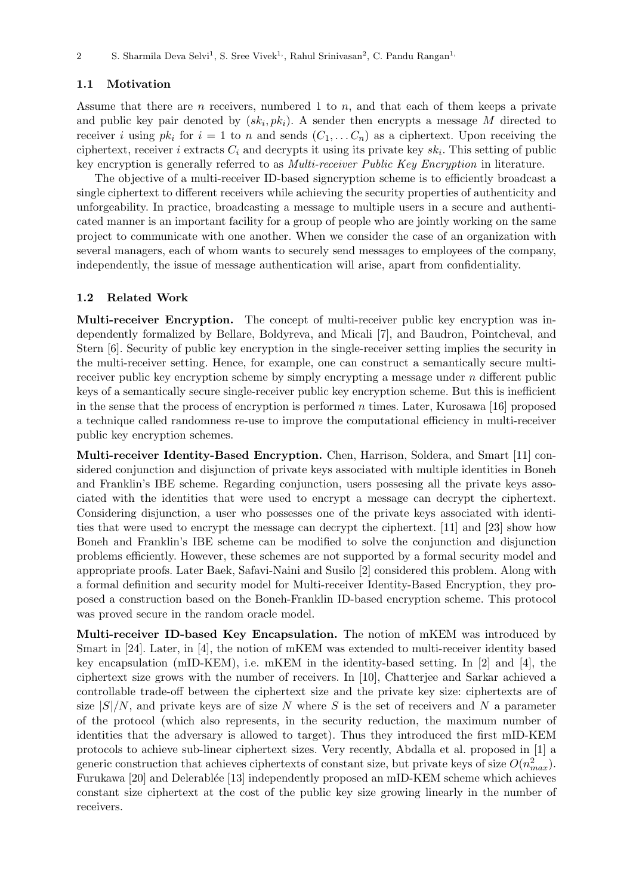# 1.1 Motivation

Assume that there are n receivers, numbered 1 to n, and that each of them keeps a private and public key pair denoted by  $(sk_i, pk_i)$ . A sender then encrypts a message M directed to receiver i using  $pk_i$  for  $i = 1$  to n and sends  $(C_1, \ldots C_n)$  as a ciphertext. Upon receiving the ciphertext, receiver i extracts  $C_i$  and decrypts it using its private key  $sk_i$ . This setting of public key encryption is generally referred to as *Multi-receiver Public Key Encryption* in literature.

The objective of a multi-receiver ID-based signcryption scheme is to efficiently broadcast a single ciphertext to different receivers while achieving the security properties of authenticity and unforgeability. In practice, broadcasting a message to multiple users in a secure and authenticated manner is an important facility for a group of people who are jointly working on the same project to communicate with one another. When we consider the case of an organization with several managers, each of whom wants to securely send messages to employees of the company, independently, the issue of message authentication will arise, apart from confidentiality.

## 1.2 Related Work

Multi-receiver Encryption. The concept of multi-receiver public key encryption was independently formalized by Bellare, Boldyreva, and Micali [7], and Baudron, Pointcheval, and Stern [6]. Security of public key encryption in the single-receiver setting implies the security in the multi-receiver setting. Hence, for example, one can construct a semantically secure multireceiver public key encryption scheme by simply encrypting a message under  $n$  different public keys of a semantically secure single-receiver public key encryption scheme. But this is inefficient in the sense that the process of encryption is performed n times. Later, Kurosawa [16] proposed a technique called randomness re-use to improve the computational efficiency in multi-receiver public key encryption schemes.

Multi-receiver Identity-Based Encryption. Chen, Harrison, Soldera, and Smart [11] considered conjunction and disjunction of private keys associated with multiple identities in Boneh and Franklin's IBE scheme. Regarding conjunction, users possesing all the private keys associated with the identities that were used to encrypt a message can decrypt the ciphertext. Considering disjunction, a user who possesses one of the private keys associated with identities that were used to encrypt the message can decrypt the ciphertext. [11] and [23] show how Boneh and Franklin's IBE scheme can be modified to solve the conjunction and disjunction problems efficiently. However, these schemes are not supported by a formal security model and appropriate proofs. Later Baek, Safavi-Naini and Susilo [2] considered this problem. Along with a formal definition and security model for Multi-receiver Identity-Based Encryption, they proposed a construction based on the Boneh-Franklin ID-based encryption scheme. This protocol was proved secure in the random oracle model.

Multi-receiver ID-based Key Encapsulation. The notion of mKEM was introduced by Smart in [24]. Later, in [4], the notion of mKEM was extended to multi-receiver identity based key encapsulation (mID-KEM), i.e. mKEM in the identity-based setting. In [2] and [4], the ciphertext size grows with the number of receivers. In [10], Chatterjee and Sarkar achieved a controllable trade-off between the ciphertext size and the private key size: ciphertexts are of size  $|S|/N$ , and private keys are of size N where S is the set of receivers and N a parameter of the protocol (which also represents, in the security reduction, the maximum number of identities that the adversary is allowed to target). Thus they introduced the first mID-KEM protocols to achieve sub-linear ciphertext sizes. Very recently, Abdalla et al. proposed in [1] a generic construction that achieves ciphertexts of constant size, but private keys of size  $O(n_{max}^2)$ . Furukawa [20] and Delerablée [13] independently proposed an mID-KEM scheme which achieves constant size ciphertext at the cost of the public key size growing linearly in the number of receivers.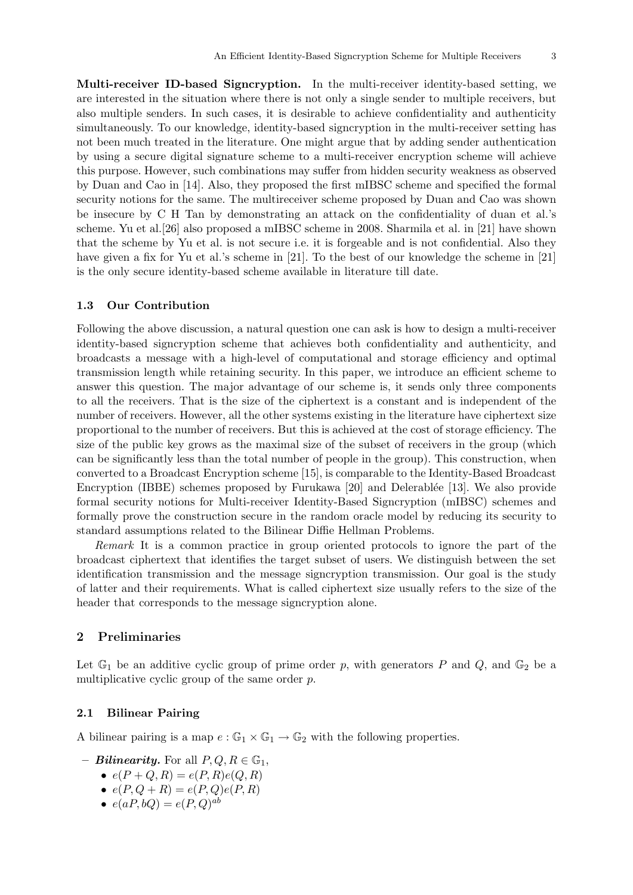Multi-receiver ID-based Signcryption. In the multi-receiver identity-based setting, we are interested in the situation where there is not only a single sender to multiple receivers, but also multiple senders. In such cases, it is desirable to achieve confidentiality and authenticity simultaneously. To our knowledge, identity-based signcryption in the multi-receiver setting has not been much treated in the literature. One might argue that by adding sender authentication by using a secure digital signature scheme to a multi-receiver encryption scheme will achieve this purpose. However, such combinations may suffer from hidden security weakness as observed by Duan and Cao in [14]. Also, they proposed the first mIBSC scheme and specified the formal security notions for the same. The multireceiver scheme proposed by Duan and Cao was shown be insecure by C H Tan by demonstrating an attack on the confidentiality of duan et al.'s scheme. Yu et al.[26] also proposed a mIBSC scheme in 2008. Sharmila et al. in [21] have shown that the scheme by Yu et al. is not secure i.e. it is forgeable and is not confidential. Also they have given a fix for Yu et al.'s scheme in [21]. To the best of our knowledge the scheme in [21] is the only secure identity-based scheme available in literature till date.

#### 1.3 Our Contribution

Following the above discussion, a natural question one can ask is how to design a multi-receiver identity-based signcryption scheme that achieves both confidentiality and authenticity, and broadcasts a message with a high-level of computational and storage efficiency and optimal transmission length while retaining security. In this paper, we introduce an efficient scheme to answer this question. The major advantage of our scheme is, it sends only three components to all the receivers. That is the size of the ciphertext is a constant and is independent of the number of receivers. However, all the other systems existing in the literature have ciphertext size proportional to the number of receivers. But this is achieved at the cost of storage efficiency. The size of the public key grows as the maximal size of the subset of receivers in the group (which can be significantly less than the total number of people in the group). This construction, when converted to a Broadcast Encryption scheme [15], is comparable to the Identity-Based Broadcast Encryption (IBBE) schemes proposed by Furukawa [20] and Delerablée [13]. We also provide formal security notions for Multi-receiver Identity-Based Signcryption (mIBSC) schemes and formally prove the construction secure in the random oracle model by reducing its security to standard assumptions related to the Bilinear Diffie Hellman Problems.

Remark It is a common practice in group oriented protocols to ignore the part of the broadcast ciphertext that identifies the target subset of users. We distinguish between the set identification transmission and the message signcryption transmission. Our goal is the study of latter and their requirements. What is called ciphertext size usually refers to the size of the header that corresponds to the message signcryption alone.

## 2 Preliminaries

Let  $\mathbb{G}_1$  be an additive cyclic group of prime order p, with generators P and Q, and  $\mathbb{G}_2$  be a multiplicative cyclic group of the same order p.

# 2.1 Bilinear Pairing

A bilinear pairing is a map  $e : \mathbb{G}_1 \times \mathbb{G}_1 \to \mathbb{G}_2$  with the following properties.

- **Bilinearity.** For all  $P, Q, R \in \mathbb{G}_1$ ,
	- $e(P + Q, R) = e(P, R)e(Q, R)$
	- $e(P, Q + R) = e(P, Q)e(P, R)$
	- $e(aP, bQ) = e(P, Q)^{ab}$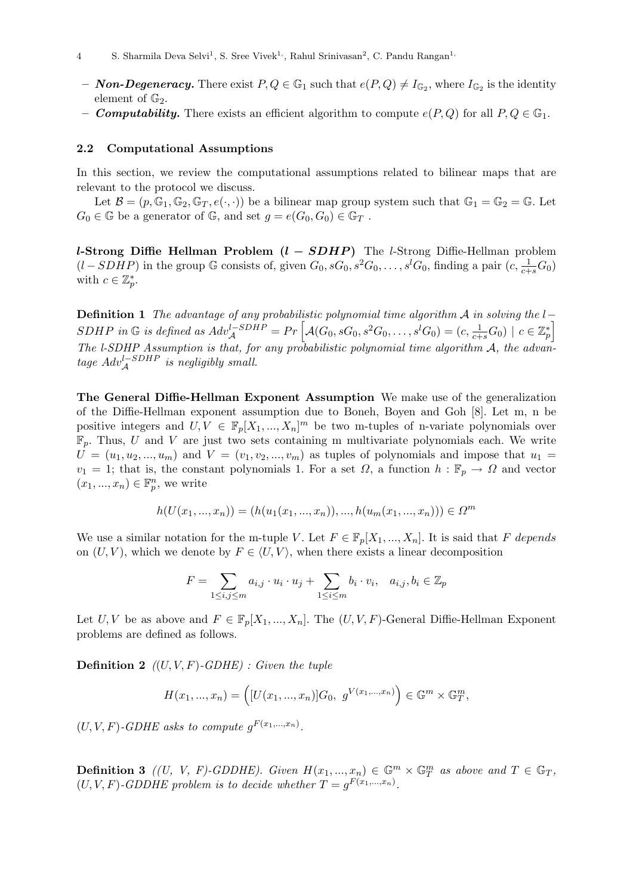- Non-Degeneracy. There exist  $P, Q \in \mathbb{G}_1$  such that  $e(P, Q) \neq I_{\mathbb{G}_2}$ , where  $I_{\mathbb{G}_2}$  is the identity element of  $\mathbb{G}_2$ .
- **Computability.** There exists an efficient algorithm to compute  $e(P,Q)$  for all  $P,Q \in \mathbb{G}_1$ .

#### 2.2 Computational Assumptions

In this section, we review the computational assumptions related to bilinear maps that are relevant to the protocol we discuss.

Let  $\mathcal{B} = (p, \mathbb{G}_1, \mathbb{G}_2, \mathbb{G}_T, e(\cdot, \cdot))$  be a bilinear map group system such that  $\mathbb{G}_1 = \mathbb{G}_2 = \mathbb{G}$ . Let  $G_0 \in \mathbb{G}$  be a generator of  $\mathbb{G}$ , and set  $g = e(G_0, G_0) \in \mathbb{G}_T$ .

l-Strong Diffie Hellman Problem  $(l - SDHP)$  The l-Strong Diffie-Hellman problem  $(l - SDHP)$  in the group G consists of, given  $G_0$ ,  $sG_0$ ,  $s^2G_0$ , ...,  $s^lG_0$ , finding a pair  $(c, \frac{1}{c+s}G_0)$ with  $c \in \mathbb{Z}_p^*$ .

**Definition 1** The advantage of any probabilistic polynomial time algorithm A in solving the  $l-$ SDHP in G is defined as  $Adv_{\mathcal{A}}^{l-SDHP} = Pr \left[ \mathcal{A}(G_0, sG_0, s^2G_0, \ldots, s^lG_0) = (c, \frac{1}{c+s}G_0) \mid c \in \mathbb{Z}_p^* \right]$ The l-SDHP Assumption is that, for any probabilistic polynomial time algorithm  $A$ , the advantage  $Adv_{\mathcal{A}}^{l-SDHP}$  is negligibly small.

The General Diffie-Hellman Exponent Assumption We make use of the generalization of the Diffie-Hellman exponent assumption due to Boneh, Boyen and Goh [8]. Let m, n be positive integers and  $U, V \in \mathbb{F}_p[X_1, ..., X_n]^m$  be two m-tuples of n-variate polynomials over  $\mathbb{F}_p$ . Thus, U and V are just two sets containing m multivariate polynomials each. We write  $U = (u_1, u_2, ..., u_m)$  and  $V = (v_1, v_2, ..., v_m)$  as tuples of polynomials and impose that  $u_1 =$  $v_1 = 1$ ; that is, the constant polynomials 1. For a set  $\Omega$ , a function  $h : \mathbb{F}_p \to \Omega$  and vector  $(x_1, ..., x_n) \in \mathbb{F}_p^n$ , we write

$$
h(U(x_1, ..., x_n)) = (h(u_1(x_1, ..., x_n)), ..., h(u_m(x_1, ..., x_n))) \in \Omega^m
$$

We use a similar notation for the m-tuple V. Let  $F \in \mathbb{F}_p[X_1, ..., X_n]$ . It is said that F depends on  $(U, V)$ , which we denote by  $F \in \langle U, V \rangle$ , when there exists a linear decomposition

$$
F = \sum_{1 \le i,j \le m} a_{i,j} \cdot u_i \cdot u_j + \sum_{1 \le i \le m} b_i \cdot v_i, \quad a_{i,j}, b_i \in \mathbb{Z}_p
$$

Let U, V be as above and  $F \in \mathbb{F}_p[X_1, ..., X_n]$ . The  $(U, V, F)$ -General Diffie-Hellman Exponent problems are defined as follows.

**Definition 2**  $((U, V, F)$ -GDHE) : Given the tuple

$$
H(x_1, ..., x_n) = \left( [U(x_1, ..., x_n)]G_0, g^{V(x_1, ..., x_n)} \right) \in \mathbb{G}^m \times \mathbb{G}_T^m,
$$

 $(U, V, F)$ -GDHE asks to compute  $g^{F(x_1,...,x_n)}$ .

**Definition 3** ((U, V, F)-GDDHE). Given  $H(x_1, ..., x_n) \in \mathbb{G}_T^m \times \mathbb{G}_T^m$  as above and  $T \in \mathbb{G}_T$ ,  $(U, V, F)$ -GDDHE problem is to decide whether  $T = g^{F(x_1,...,x_n)}$ .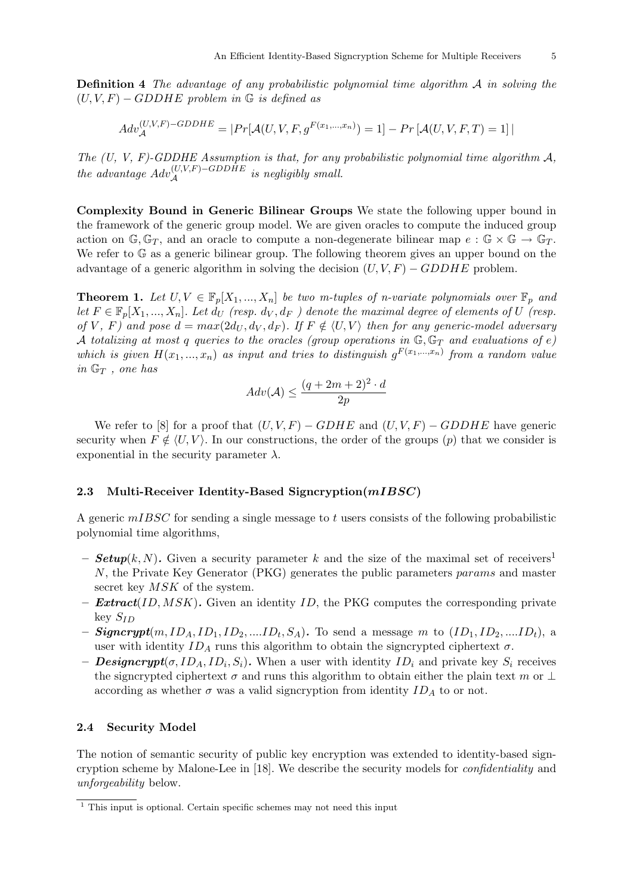Definition 4 The advantage of any probabilistic polynomial time algorithm A in solving the  $(U, V, F) - GDDHE$  problem in G is defined as

$$
Adv_{\mathcal{A}}^{(U,V,F)-GDDHE} = |Pr[\mathcal{A}(U,V,F,g^{F(x_1,...,x_n)}) = 1] - Pr[\mathcal{A}(U,V,F,T) = 1]|
$$

The  $(U, V, F)$ -GDDHE Assumption is that, for any probabilistic polynomial time algorithm  $A$ , the advantage  $Adv_{\mathcal{A}}^{(U,V,F)-GDDHE}$  is negligibly small.

Complexity Bound in Generic Bilinear Groups We state the following upper bound in the framework of the generic group model. We are given oracles to compute the induced group action on  $\mathbb{G}, \mathbb{G}_T$ , and an oracle to compute a non-degenerate bilinear map  $e : \mathbb{G} \times \mathbb{G} \to \mathbb{G}_T$ . We refer to  $\mathbb{G}$  as a generic bilinear group. The following theorem gives an upper bound on the advantage of a generic algorithm in solving the decision  $(U, V, F) - GDDHE$  problem.

**Theorem 1.** Let  $U, V \in \mathbb{F}_p[X_1, ..., X_n]$  be two m-tuples of n-variate polynomials over  $\mathbb{F}_p$  and let  $F \in \mathbb{F}_p[X_1, ..., X_n]$ . Let  $d_U$  (resp.  $d_V, d_F$ ) denote the maximal degree of elements of U (resp. of V, F) and pose  $d = max(2d_U, d_V, d_F)$ . If  $F \notin \langle U, V \rangle$  then for any generic-model adversary A totalizing at most q queries to the oracles (group operations in  $\mathbb{G}, \mathbb{G}_T$  and evaluations of e) which is given  $H(x_1,...,x_n)$  as input and tries to distinguish  $g^{F(x_1,...,x_n)}$  from a random value in  $\mathbb{G}_T$ , one has

$$
Adv(\mathcal{A}) \le \frac{(q+2m+2)^2 \cdot d}{2p}
$$

We refer to [8] for a proof that  $(U, V, F) - GDHE$  and  $(U, V, F) - GDDHE$  have generic security when  $F \notin \langle U, V \rangle$ . In our constructions, the order of the groups  $(p)$  that we consider is exponential in the security parameter  $\lambda$ .

## 2.3 Multi-Receiver Identity-Based Signcryption $(mIBSC)$

A generic  $mIBSC$  for sending a single message to t users consists of the following probabilistic polynomial time algorithms,

- **Setup**(k, N). Given a security parameter k and the size of the maximal set of receivers<sup>1</sup> N, the Private Key Generator (PKG) generates the public parameters params and master secret key  $MSK$  of the system.
- $Extract(ID, MSK)$ . Given an identity ID, the PKG computes the corresponding private  $key S_{ID}$
- **Signcrypt** $(m, ID_A, ID_1, ID_2, ....ID_t, S_A)$ . To send a message m to  $(ID_1, ID_2, ....ID_t)$ , a user with identity  $ID_A$  runs this algorithm to obtain the signcrypted ciphertext  $\sigma$ .
- **Designcrypt** $(\sigma, ID_A, ID_i, S_i)$ . When a user with identity  $ID_i$  and private key  $S_i$  receives the signcrypted ciphertext  $\sigma$  and runs this algorithm to obtain either the plain text m or  $\perp$ according as whether  $\sigma$  was a valid signcryption from identity  $ID_A$  to or not.

## 2.4 Security Model

The notion of semantic security of public key encryption was extended to identity-based signcryption scheme by Malone-Lee in [18]. We describe the security models for confidentiality and unforgeability below.

 $1$  This input is optional. Certain specific schemes may not need this input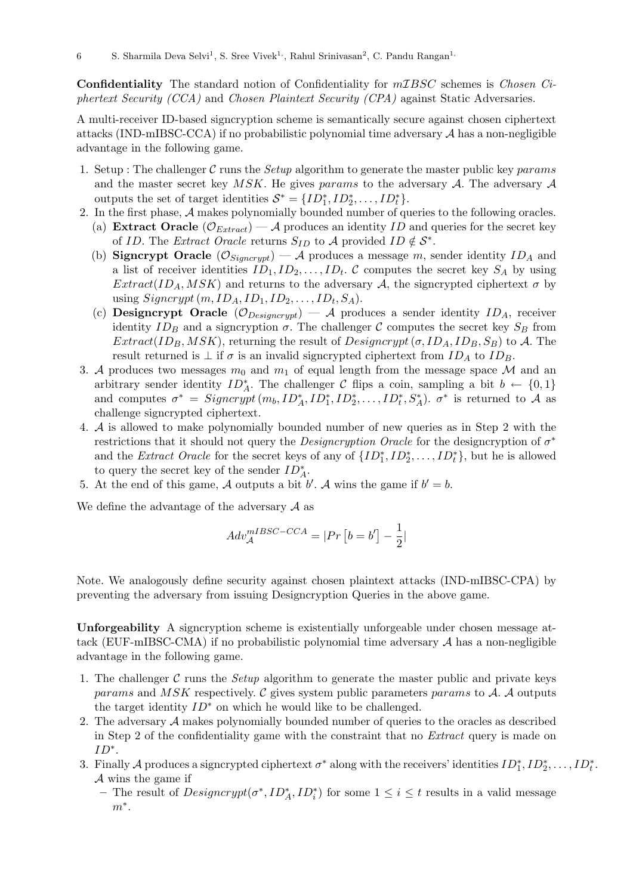Confidentiality The standard notion of Confidentiality for mIBSC schemes is Chosen Ciphertext Security (CCA) and Chosen Plaintext Security (CPA) against Static Adversaries.

A multi-receiver ID-based signcryption scheme is semantically secure against chosen ciphertext attacks (IND-mIBSC-CCA) if no probabilistic polynomial time adversary  $A$  has a non-negligible advantage in the following game.

- 1. Setup : The challenger  $\mathcal C$  runs the *Setup* algorithm to generate the master public key params and the master secret key  $MSK$ . He gives params to the adversary  $A$ . The adversary  $A$ outputs the set of target identities  $S^* = \{ID_1^*, ID_2^*, \ldots, ID_t^*\}.$
- 2. In the first phase, A makes polynomially bounded number of queries to the following oracles. (a) Extract Oracle  $(\mathcal{O}_{Extract})$  – A produces an identity ID and queries for the secret key of ID. The Extract Oracle returns  $S_{ID}$  to A provided ID  $\notin \mathcal{S}^*$ .
	- (b) Signcrypt Oracle  $(\mathcal{O}_{Signcrypt}) A$  produces a message m, sender identity  $ID_A$  and a list of receiver identities  $ID_1, ID_2, \ldots, ID_t$ . C computes the secret key  $S_A$  by using  $Extract(ID<sub>A</sub>,MSK)$  and returns to the adversary A, the signcrypted ciphertext  $\sigma$  by using  $Signcrypt(m, ID_A, ID_1, ID_2, \ldots, ID_t, S_A)$ .
	- (c) Designcrypt Oracle  $(\mathcal{O}_{Designcrypt}) A$  produces a sender identity  $ID_A$ , receiver identity  $ID_B$  and a signcryption  $\sigma$ . The challenger C computes the secret key  $S_B$  from  $Extract(ID_B, MSK)$ , returning the result of  $Designcrypt(\sigma, ID_A, ID_B, S_B)$  to A. The result returned is  $\perp$  if  $\sigma$  is an invalid signcrypted ciphertext from  $ID_A$  to  $ID_B$ .
- 3. A produces two messages  $m_0$  and  $m_1$  of equal length from the message space M and an arbitrary sender identity  $ID_A^*$ . The challenger C flips a coin, sampling a bit  $b \leftarrow \{0,1\}$ and computes  $\sigma^* = Signcrypt(m_b, ID_A^*, ID_1^*, ID_2^*, \ldots, ID_t^*, S_A^*)$ .  $\sigma^*$  is returned to A as challenge signcrypted ciphertext.
- 4. A is allowed to make polynomially bounded number of new queries as in Step 2 with the restrictions that it should not query the *Designcryption Oracle* for the designcryption of  $\sigma^*$ and the *Extract Oracle* for the secret keys of any of  $\{ID_1^*, ID_2^*, \ldots, ID_t^*\}$ , but he is allowed to query the secret key of the sender  $ID_A^*$ .
- 5. At the end of this game, A outputs a bit  $b'$ . A wins the game if  $b' = b$ .

We define the advantage of the adversary  $\mathcal A$  as

$$
Adv_{\mathcal{A}}^{mIBSC-CCA} = |Pr[b = b'] - \frac{1}{2}|
$$

Note. We analogously define security against chosen plaintext attacks (IND-mIBSC-CPA) by preventing the adversary from issuing Designcryption Queries in the above game.

Unforgeability A signcryption scheme is existentially unforgeable under chosen message attack (EUF-mIBSC-CMA) if no probabilistic polynomial time adversary  $A$  has a non-negligible advantage in the following game.

- 1. The challenger C runs the Setup algorithm to generate the master public and private keys params and MSK respectively.  $\mathcal C$  gives system public parameters params to  $\mathcal A$ .  $\mathcal A$  outputs the target identity  $ID^*$  on which he would like to be challenged.
- 2. The adversary A makes polynomially bounded number of queries to the oracles as described in Step 2 of the confidentiality game with the constraint that no Extract query is made on  $ID^*$ .
- 3. Finally A produces a signcrypted ciphertext  $\sigma^*$  along with the receivers' identities  $ID_1^*, ID_2^*, \ldots, ID_t^*$ .  $A$  wins the game if
	- The result of  $Designcrypt(\sigma^*, ID_A^*, ID_i^*)$  for some  $1 \le i \le t$  results in a valid message  $m^*$ .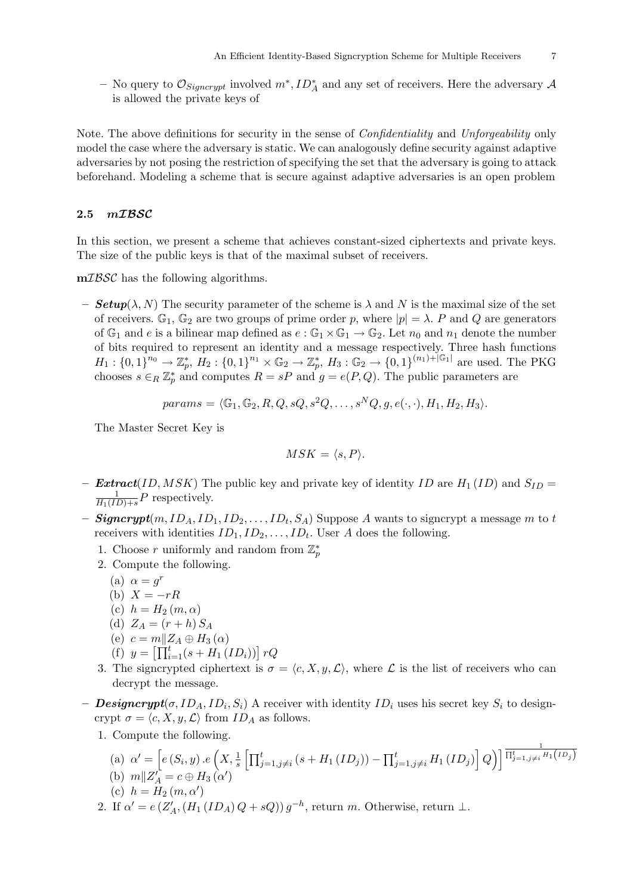− No query to  $\mathcal{O}_{Signcrypt}$  involved  $m^*$ ,  $ID_A^*$  and any set of receivers. Here the adversary  $\mathcal{A}$ is allowed the private keys of

Note. The above definitions for security in the sense of Confidentiality and Unforgeability only model the case where the adversary is static. We can analogously define security against adaptive adversaries by not posing the restriction of specifying the set that the adversary is going to attack beforehand. Modeling a scheme that is secure against adaptive adversaries is an open problem

# 2.5 mIBSC

In this section, we present a scheme that achieves constant-sized ciphertexts and private keys. The size of the public keys is that of the maximal subset of receivers.

mIBSC has the following algorithms.

– **Setup**( $\lambda$ , N) The security parameter of the scheme is  $\lambda$  and N is the maximal size of the set of receivers.  $\mathbb{G}_1$ ,  $\mathbb{G}_2$  are two groups of prime order p, where  $|p| = \lambda$ . P and Q are generators of  $\mathbb{G}_1$  and e is a bilinear map defined as  $e : \mathbb{G}_1 \times \mathbb{G}_1 \to \mathbb{G}_2$ . Let  $n_0$  and  $n_1$  denote the number of bits required to represent an identity and a message respectively. Three hash functions  $H_1: \{0,1\}^{n_0} \to \mathbb{Z}_p^*, H_2: \{0,1\}^{n_1} \times \mathbb{G}_2 \to \mathbb{Z}_p^*, H_3: \mathbb{G}_2 \to \{0,1\}^{(n_1)+|\mathbb{G}_1|}$  are used. The PKG chooses  $s \in_R \mathbb{Z}_p^*$  and computes  $R = sP$  and  $g = e(P, Q)$ . The public parameters are

$$
params = \langle \mathbb{G}_1, \mathbb{G}_2, R, Q, sQ, s^2Q, \dots, s^NQ, g, e(\cdot, \cdot), H_1, H_2, H_3 \rangle.
$$

The Master Secret Key is

$$
MSK = \langle s, P \rangle.
$$

- **Extract**(ID, MSK) The public key and private key of identity ID are  $H_1(ID)$  and  $S_{ID}$  = 1  $\frac{1}{H_1(ID)+s}P$  respectively.
- $\it Signcrypt(m, ID_A, ID_1, ID_2, \ldots, ID_t, S_A)$  Suppose  $A$  wants to signcrypt a message  $m$  to  $t$ receivers with identities  $ID_1, ID_2, \ldots, ID_t$ . User A does the following.
	- 1. Choose r uniformly and random from  $\mathbb{Z}_p^*$
	- 2. Compute the following.

$$
(a) \ \alpha = g^r
$$

- (b)  $X = -rR$
- (c)  $h = H_2(m, \alpha)$
- (d)  $Z_A = (r + h) S_A$
- (e)  $c = m||Z_A \oplus H_3(\alpha)$
- (f)  $y = \left[ \prod_{i=1}^{t} (s + H_1 (ID_i)) \right] rQ$
- 3. The signcrypted ciphertext is  $\sigma = \langle c, X, y, \mathcal{L} \rangle$ , where  $\mathcal L$  is the list of receivers who can decrypt the message.
- **Designcrypt**( $\sigma$ , ID<sub>A</sub>, ID<sub>i</sub>, S<sub>i</sub>) A receiver with identity ID<sub>i</sub> uses his secret key S<sub>i</sub> to designcrypt  $\sigma = \langle c, X, y, \mathcal{L} \rangle$  from  $ID_A$  as follows.
	- 1. Compute the following.
		- (a)  $\alpha' = \left[ e(S_i, y) \cdot e\left(X, \frac{1}{s} \left[ \prod_{j=1, j\neq i}^t (s + H_1(ID_j)) \prod_{j=1, j\neq i}^t H_1(ID_j) \right] Q \right) \right] \frac{1}{\prod_{j=1, j\neq i}^t H_1(ID_j)}$ (b)  $m||Z'_A = c \oplus H_3(\alpha')$
		- (c)  $h = H_2(m, \alpha')$
	- 2. If  $\alpha' = e(Z'_A, (H_1(ID_A)Q + sQ)) g^{-h}$ , return m. Otherwise, return  $\perp$ .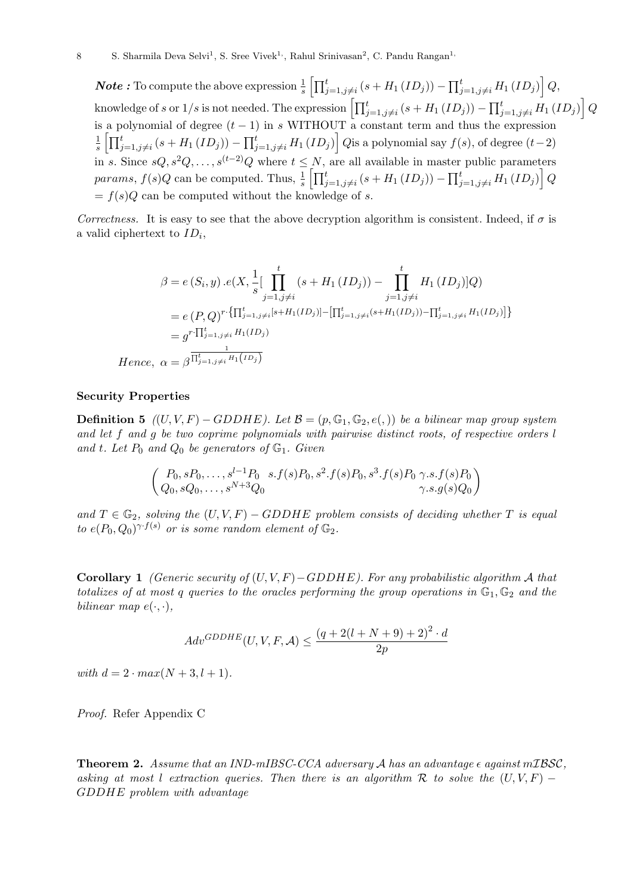**Note**: To compute the above expression  $\frac{1}{s} \left[ \prod_{j=1,j\neq i}^{t} (s + H_1 (ID_j)) - \prod_{j=1,j\neq i}^{t} H_1 (ID_j) \right] Q$ knowledge of  $s$  or  $1/s$  is not needed. The expression  $\left[\prod_{j=1,j\neq i}^{t}(s+H_1\left(ID_j\right)\right]-\prod_{j=1,j\neq i}^{t}H_1\left(ID_j\right)\right]Q$ is a polynomial of degree  $(t-1)$  in s WITHOUT a constant term and thus the expression 1  $\frac{1}{s}\left[\prod_{j=1,j\neq i}^{t}(s+H_1\left(ID_j\right)\right]-\prod_{j=1,j\neq i}^{t}H_1\left(ID_j\right)\right]Q$ is a polynomial say  $f(s),$  of degree  $(t-2)$ in s. Since  $sQ, s^2Q, \ldots, s^{(t-2)}Q$  where  $t \leq N$ , are all available in master public parameters params,  $f(s)Q$  can be computed. Thus,  $\frac{1}{s} \left[ \prod_{j=1,j\neq i}^{t} (s + H_1 (ID_j)) - \prod_{j=1,j\neq i}^{t} H_1 (ID_j) \right] Q$  $= f(s)Q$  can be computed without the knowledge of s.

Correctness. It is easy to see that the above decryption algorithm is consistent. Indeed, if  $\sigma$  is a valid ciphertext to  $ID_i$ ,

$$
\beta = e(S_i, y) . e(X, \frac{1}{s} [\prod_{j=1, j \neq i}^{t} (s + H_1(ID_j)) - \prod_{j=1, j \neq i}^{t} H_1(ID_j)]Q)
$$
  
\n
$$
= e(P, Q)^{r} {\prod_{j=1, j \neq i}^{t} [s + H_1(ID_j)] - [\prod_{j=1, j \neq i}^{t} (s + H_1(ID_j)) - \prod_{j=1, j \neq i}^{t} H_1(ID_j)] }
$$
  
\n
$$
= g^{r} {\prod_{j=1, j \neq i}^{t} H_1(ID_j)}
$$
  
\nHence,  $\alpha = \beta^{\frac{1}{\prod_{j=1, j \neq i}^{t} H_1(ID_j)}}$ 

#### Security Properties

**Definition 5**  $((U, V, F) - GDDHE)$ . Let  $\mathcal{B} = (p, \mathbb{G}_1, \mathbb{G}_2, e(0))$  be a bilinear map group system and let f and g be two coprime polynomials with pairwise distinct roots, of respective orders l and t. Let  $P_0$  and  $Q_0$  be generators of  $\mathbb{G}_1$ . Given

$$
\begin{pmatrix} P_0, sP_0, \dots, s^{l-1}P_0 & s.f(s)P_0, s^2.f(s)P_0, s^3.f(s)P_0 & \gamma.s.f(s)P_0 \\ Q_0, sQ_0, \dots, s^{N+3}Q_0 & \gamma.s.g(s)Q_0 \end{pmatrix}
$$

and  $T \in \mathbb{G}_2$ , solving the  $(U, V, F) - GDDHE$  problem consists of deciding whether T is equal to  $e(P_0,Q_0)^{\gamma \cdot f(s)}$  or is some random element of  $\mathbb{G}_2$ .

Corollary 1 (Generic security of  $(U, V, F) - GDDHE$ ). For any probabilistic algorithm A that totalizes of at most q queries to the oracles performing the group operations in  $\mathbb{G}_1$ ,  $\mathbb{G}_2$  and the bilinear map  $e(\cdot, \cdot)$ ,

$$
Adv^{GDDHE}(U, V, F, A) \le \frac{(q + 2(l + N + 9) + 2)^2 \cdot d}{2p}
$$

with  $d = 2 \cdot max(N + 3, l + 1)$ .

Proof. Refer Appendix C

**Theorem 2.** Assume that an IND-mIBSC-CCA adversary A has an advantage  $\epsilon$  against mIBSC, asking at most l extraction queries. Then there is an algorithm R to solve the  $(U, V, F)$  – GDDHE problem with advantage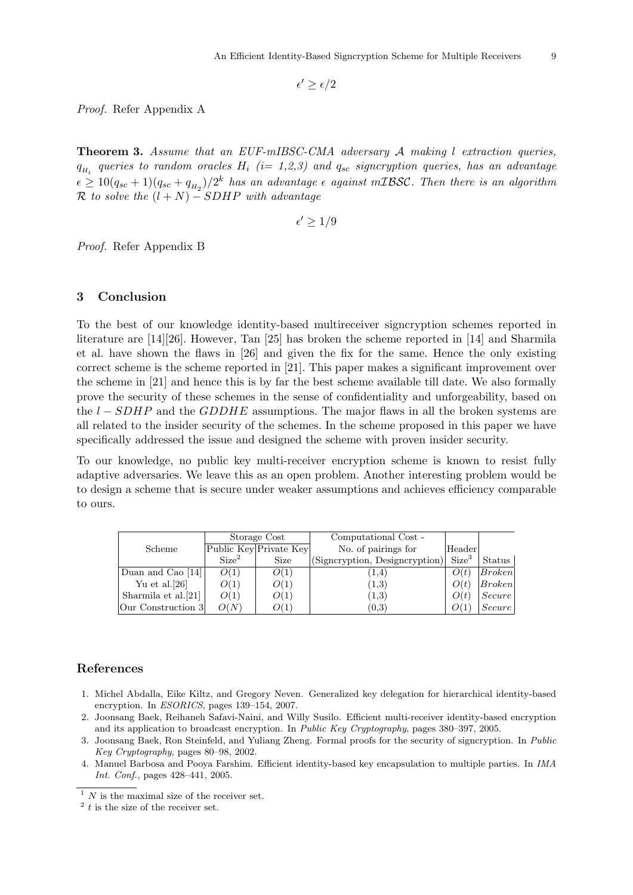$\epsilon' \geq \epsilon/2$ 

Proof. Refer Appendix A

Theorem 3. Assume that an EUF-mIBSC-CMA adversary A making l extraction queries,  $q_{H_i}$  queries to random oracles  $H_i$  (i= 1,2,3) and  $q_{sc}$  signcryption queries, has an advantage  $\epsilon \geq 10(q_{sc}+1)(q_{sc}+q_{H_2})/2^k$  has an advantage  $\epsilon$  against mIBSC. Then there is an algorithm  $\mathcal R$  to solve the  $(l+N)$  – SDHP with advantage

 $\epsilon' \geq 1/9$ 

Proof. Refer Appendix B

## 3 Conclusion

To the best of our knowledge identity-based multireceiver signcryption schemes reported in literature are [14][26]. However, Tan [25] has broken the scheme reported in [14] and Sharmila et al. have shown the flaws in [26] and given the fix for the same. Hence the only existing correct scheme is the scheme reported in [21]. This paper makes a significant improvement over the scheme in [21] and hence this is by far the best scheme available till date. We also formally prove the security of these schemes in the sense of confidentiality and unforgeability, based on the  $l - SDHP$  and the GDDHE assumptions. The major flaws in all the broken systems are all related to the insider security of the schemes. In the scheme proposed in this paper we have specifically addressed the issue and designed the scheme with proven insider security.

To our knowledge, no public key multi-receiver encryption scheme is known to resist fully adaptive adversaries. We leave this as an open problem. Another interesting problem would be to design a scheme that is secure under weaker assumptions and achieves efficiency comparable to ours.

|                     | Storage Cost      |                        | Computational Cost -                             |                   |               |
|---------------------|-------------------|------------------------|--------------------------------------------------|-------------------|---------------|
| Scheme              |                   | Public Key Private Key | No. of pairings for                              | Header            |               |
|                     | Size <sup>2</sup> | Size                   | $ \text{(Signeryption}, \text{Designcryption}) $ | Size <sup>3</sup> | Status        |
| Duan and Cao $[14]$ | O(1)              | O(1)                   | (1,4)                                            | O(t)              | Broken        |
| Yu et al. $[26]$    | O(1)              | O(1)                   | (1,3)                                            | O(t)              | Broken        |
| Sharmila et al.[21] | O(1)              | O(1)                   | (1,3)                                            | O(t)              | <i>Secure</i> |
| Our Construction 3  | O(N)              | O(1)                   | (0,3)                                            | O(1)              | <i>Secure</i> |

## References

- 1. Michel Abdalla, Eike Kiltz, and Gregory Neven. Generalized key delegation for hierarchical identity-based encryption. In ESORICS, pages 139–154, 2007.
- 2. Joonsang Baek, Reihaneh Safavi-Naini, and Willy Susilo. Efficient multi-receiver identity-based encryption and its application to broadcast encryption. In Public Key Cryptography, pages 380–397, 2005.
- 3. Joonsang Baek, Ron Steinfeld, and Yuliang Zheng. Formal proofs for the security of signcryption. In Public Key Cryptography, pages 80–98, 2002.
- 4. Manuel Barbosa and Pooya Farshim. Efficient identity-based key encapsulation to multiple parties. In IMA Int. Conf., pages 428–441, 2005.

 $\overline{1}$  N is the maximal size of the receiver set.

 $2$ <sup>2</sup> t is the size of the receiver set.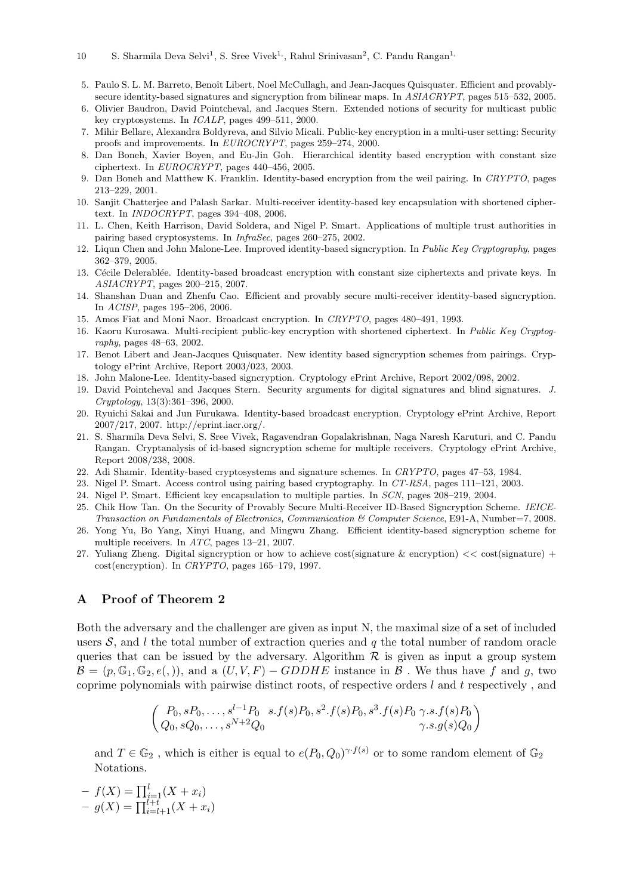- 5. Paulo S. L. M. Barreto, Benoît Libert, Noel McCullagh, and Jean-Jacques Quisquater. Efficient and provablysecure identity-based signatures and signcryption from bilinear maps. In ASIACRYPT, pages 515–532, 2005.
- 6. Olivier Baudron, David Pointcheval, and Jacques Stern. Extended notions of security for multicast public key cryptosystems. In ICALP, pages 499–511, 2000.
- 7. Mihir Bellare, Alexandra Boldyreva, and Silvio Micali. Public-key encryption in a multi-user setting: Security proofs and improvements. In EUROCRYPT, pages 259–274, 2000.
- 8. Dan Boneh, Xavier Boyen, and Eu-Jin Goh. Hierarchical identity based encryption with constant size ciphertext. In EUROCRYPT, pages 440–456, 2005.
- 9. Dan Boneh and Matthew K. Franklin. Identity-based encryption from the weil pairing. In CRYPTO, pages 213–229, 2001.
- 10. Sanjit Chatterjee and Palash Sarkar. Multi-receiver identity-based key encapsulation with shortened ciphertext. In INDOCRYPT, pages 394–408, 2006.
- 11. L. Chen, Keith Harrison, David Soldera, and Nigel P. Smart. Applications of multiple trust authorities in pairing based cryptosystems. In InfraSec, pages 260–275, 2002.
- 12. Liqun Chen and John Malone-Lee. Improved identity-based signcryption. In Public Key Cryptography, pages 362–379, 2005.
- 13. Cécile Delerablée. Identity-based broadcast encryption with constant size ciphertexts and private keys. In ASIACRYPT, pages 200–215, 2007.
- 14. Shanshan Duan and Zhenfu Cao. Efficient and provably secure multi-receiver identity-based signcryption. In ACISP, pages 195–206, 2006.
- 15. Amos Fiat and Moni Naor. Broadcast encryption. In CRYPTO, pages 480–491, 1993.
- 16. Kaoru Kurosawa. Multi-recipient public-key encryption with shortened ciphertext. In Public Key Cryptography, pages 48–63, 2002.
- 17. Benot Libert and Jean-Jacques Quisquater. New identity based signcryption schemes from pairings. Cryptology ePrint Archive, Report 2003/023, 2003.
- 18. John Malone-Lee. Identity-based signcryption. Cryptology ePrint Archive, Report 2002/098, 2002.
- 19. David Pointcheval and Jacques Stern. Security arguments for digital signatures and blind signatures. J. Cryptology, 13(3):361–396, 2000.
- 20. Ryuichi Sakai and Jun Furukawa. Identity-based broadcast encryption. Cryptology ePrint Archive, Report 2007/217, 2007. http://eprint.iacr.org/.
- 21. S. Sharmila Deva Selvi, S. Sree Vivek, Ragavendran Gopalakrishnan, Naga Naresh Karuturi, and C. Pandu Rangan. Cryptanalysis of id-based signcryption scheme for multiple receivers. Cryptology ePrint Archive, Report 2008/238, 2008.
- 22. Adi Shamir. Identity-based cryptosystems and signature schemes. In CRYPTO, pages 47–53, 1984.
- 23. Nigel P. Smart. Access control using pairing based cryptography. In CT-RSA, pages 111–121, 2003.
- 24. Nigel P. Smart. Efficient key encapsulation to multiple parties. In SCN, pages 208–219, 2004.
- 25. Chik How Tan. On the Security of Provably Secure Multi-Receiver ID-Based Signcryption Scheme. IEICE-Transaction on Fundamentals of Electronics, Communication & Computer Science, E91-A, Number=7, 2008.
- 26. Yong Yu, Bo Yang, Xinyi Huang, and Mingwu Zhang. Efficient identity-based signcryption scheme for multiple receivers. In ATC, pages 13–21, 2007.
- 27. Yuliang Zheng. Digital signcryption or how to achieve cost(signature & encryption) << cost(signature) + cost(encryption). In CRYPTO, pages 165–179, 1997.

## A Proof of Theorem 2

Both the adversary and the challenger are given as input N, the maximal size of a set of included users  $S$ , and l the total number of extraction queries and q the total number of random oracle queries that can be issued by the adversary. Algorithm  $R$  is given as input a group system  $\mathcal{B} = (p, \mathbb{G}_1, \mathbb{G}_2, e(0))$ , and a  $(U, V, F) - GDDHE$  instance in  $\mathcal{B}$ . We thus have f and g, two coprime polynomials with pairwise distinct roots, of respective orders  $l$  and  $t$  respectively, and

$$
\begin{pmatrix} P_0, sP_0, \dots, s^{l-1}P_0 & s.f(s)P_0, s^2.f(s)P_0, s^3.f(s)P_0 \gamma.s.f(s)P_0 \\ Q_0, sQ_0, \dots, s^{N+2}Q_0 & \gamma.s.g(s)Q_0 \end{pmatrix}
$$

and  $T \in \mathbb{G}_2$ , which is either is equal to  $e(P_0, Q_0)^{\gamma \cdot f(s)}$  or to some random element of  $\mathbb{G}_2$ Notations.

$$
- f(X) = \prod_{i=1}^{l} (X + x_i)
$$
  
- g(X) = \prod\_{i=l+1}^{l+t} (X + x\_i)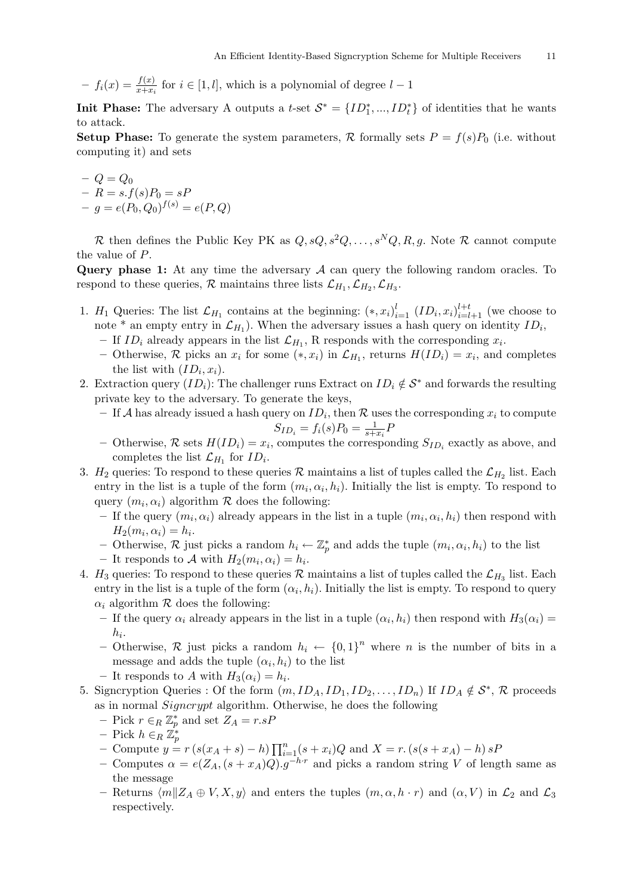- 
$$
f_i(x) = \frac{f(x)}{x + x_i}
$$
 for  $i \in [1, l]$ , which is a polynomial of degree  $l - 1$ 

**Init Phase:** The adversary A outputs a t-set  $\mathcal{S}^* = \{ID_1^*, ..., ID_t^*\}$  of identities that he wants to attack.

**Setup Phase:** To generate the system parameters,  $\mathcal{R}$  formally sets  $P = f(s)P_0$  (i.e. without computing it) and sets

$$
- Q = Q_0
$$
  
- R = s.f(s)P<sub>0</sub> = sP  
- g = e(P<sub>0</sub>, Q<sub>0</sub>)<sup>f(s)</sup> = e(P, Q)

R then defines the Public Key PK as  $Q, sQ, s^2Q, \ldots, s^NQ, R, g$ . Note R cannot compute the value of P.

Query phase 1: At any time the adversary  $A$  can query the following random oracles. To respond to these queries,  $\mathcal{R}$  maintains three lists  $\mathcal{L}_{H_1}, \mathcal{L}_{H_2}, \mathcal{L}_{H_3}$ .

- 1.  $H_1$  Queries: The list  $\mathcal{L}_{H_1}$  contains at the beginning:  $(*, x_i)_{i=1}^l$   $(ID_i, x_i)_{i=l+1}^{l+t}$  (we choose to note \* an empty entry in  $\mathcal{L}_{H_1}$ ). When the adversary issues a hash query on identity  $ID_i$ ,
	- If  $ID_i$  already appears in the list  $\mathcal{L}_{H_1}$ , R responds with the corresponding  $x_i$ .
	- Otherwise, R picks an  $x_i$  for some  $(*, x_i)$  in  $\mathcal{L}_{H_1}$ , returns  $H(ID_i) = x_i$ , and completes the list with  $(ID_i, x_i)$ .
- 2. Extraction query  $(ID_i):$  The challenger runs Extract on  $ID_i \notin S^*$  and forwards the resulting private key to the adversary. To generate the keys,
	- If A has already issued a hash query on  $ID_i$ , then R uses the corresponding  $x_i$  to compute  $S_{ID_i} = f_i(s)P_0 = \frac{1}{s+1}$  $\frac{1}{s+x_i}F$
	- Otherwise,  $\mathcal{R}$  sets  $H(ID_i) = x_i$ , computes the corresponding  $S_{ID_i}$  exactly as above, and completes the list  $\mathcal{L}_{H_1}$  for  $ID_i$ .
- 3.  $H_2$  queries: To respond to these queries R maintains a list of tuples called the  $\mathcal{L}_{H_2}$  list. Each entry in the list is a tuple of the form  $(m_i, \alpha_i, h_i)$ . Initially the list is empty. To respond to query  $(m_i, \alpha_i)$  algorithm  $R$  does the following:
	- If the query  $(m_i, \alpha_i)$  already appears in the list in a tuple  $(m_i, \alpha_i, h_i)$  then respond with  $H_2(m_i, \alpha_i) = h_i.$
	- Otherwise, R just picks a random  $h_i \leftarrow \mathbb{Z}_p^*$  and adds the tuple  $(m_i, \alpha_i, h_i)$  to the list
	- It responds to A with  $H_2(m_i, \alpha_i) = h_i$ .
- 4.  $H_3$  queries: To respond to these queries R maintains a list of tuples called the  $\mathcal{L}_{H_3}$  list. Each entry in the list is a tuple of the form  $(\alpha_i, h_i)$ . Initially the list is empty. To respond to query  $\alpha_i$  algorithm  $\mathcal R$  does the following:
	- If the query  $\alpha_i$  already appears in the list in a tuple  $(\alpha_i, h_i)$  then respond with  $H_3(\alpha_i)$  =  $h_i.$
	- Otherwise,  $\mathcal R$  just picks a random  $h_i \leftarrow \{0,1\}^n$  where n is the number of bits in a message and adds the tuple  $(\alpha_i, h_i)$  to the list
	- It responds to A with  $H_3(\alpha_i) = h_i$ .
- 5. Signcryption Queries : Of the form  $(m, ID_A, ID_1, ID_2, \ldots, ID_n)$  If  $ID_A \notin S^*$ , R proceeds as in normal Signcrypt algorithm. Otherwise, he does the following
	- Pick  $r \in_R \mathbb{Z}_p^*$  and set  $Z_A = r.sP$
	- Pick  $h \in_R \mathbb{Z}_p^*$
	- Compute  $y = r(s(x_A + s) h) \prod_{i=1}^{n} (s + x_i)Q$  and  $X = r$ .  $(s(s + x_A) h) sF$
	- Computes  $\alpha = e(Z_A, (s + x_A)Q).g^{-h \cdot r}$  and picks a random string V of length same as the message
	- Returns  $\langle m||Z_A \oplus V, X, y \rangle$  and enters the tuples  $(m, \alpha, h \cdot r)$  and  $(\alpha, V)$  in  $\mathcal{L}_2$  and  $\mathcal{L}_3$ respectively.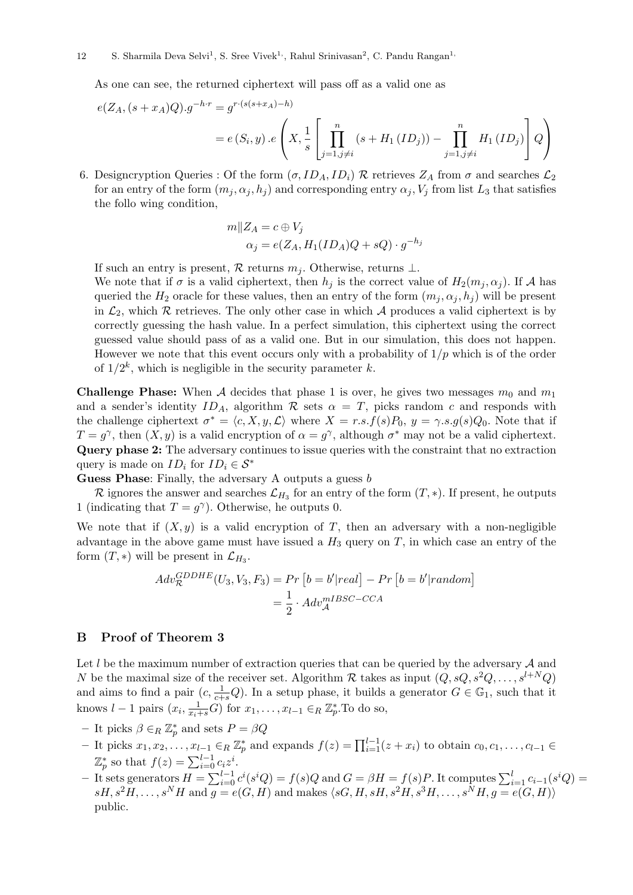As one can see, the returned ciphertext will pass off as a valid one as

$$
e(Z_A, (s + x_A)Q).g^{-h \cdot r} = g^{r \cdot (s(s + x_A) - h)}
$$
  
=  $e(S_i, y) \cdot e\left(X, \frac{1}{s} \left[\prod_{j=1, j \neq i}^{n} (s + H_1(ID_j)) - \prod_{j=1, j \neq i}^{n} H_1(ID_j)\right] Q\right)$ 

6. Designcryption Queries : Of the form  $(\sigma, ID_A, ID_i)$  R retrieves  $Z_A$  from  $\sigma$  and searches  $\mathcal{L}_2$ for an entry of the form  $(m_j, \alpha_j, h_j)$  and corresponding entry  $\alpha_j, V_j$  from list  $L_3$  that satisfies the follo wing condition,

$$
m||Z_A = c \oplus V_j
$$
  
\n
$$
\alpha_j = e(Z_A, H_1(ID_A)Q + sQ) \cdot g^{-h_j}
$$

If such an entry is present, R returns  $m_i$ . Otherwise, returns  $\perp$ .

We note that if  $\sigma$  is a valid ciphertext, then  $h_j$  is the correct value of  $H_2(m_j, \alpha_j)$ . If A has queried the  $H_2$  oracle for these values, then an entry of the form  $(m_i, \alpha_i, h_i)$  will be present in  $\mathcal{L}_2$ , which  $\mathcal R$  retrieves. The only other case in which  $\mathcal A$  produces a valid ciphertext is by correctly guessing the hash value. In a perfect simulation, this ciphertext using the correct guessed value should pass of as a valid one. But in our simulation, this does not happen. However we note that this event occurs only with a probability of  $1/p$  which is of the order of  $1/2^k$ , which is negligible in the security parameter k.

**Challenge Phase:** When A decides that phase 1 is over, he gives two messages  $m_0$  and  $m_1$ and a sender's identity  $ID_A$ , algorithm  $R$  sets  $\alpha = T$ , picks random c and responds with the challenge ciphertext  $\sigma^* = \langle c, X, y, \mathcal{L} \rangle$  where  $X = r.s.f(s)P_0, y = \gamma.s.g(s)Q_0$ . Note that if  $T = g^{\gamma}$ , then  $(X, y)$  is a valid encryption of  $\alpha = g^{\gamma}$ , although  $\sigma^*$  may not be a valid ciphertext. Query phase 2: The adversary continues to issue queries with the constraint that no extraction query is made on  $ID_i$  for  $ID_i \in \mathcal{S}^*$ 

Guess Phase: Finally, the adversary A outputs a guess b

R ignores the answer and searches  $\mathcal{L}_{H_3}$  for an entry of the form  $(T, *)$ . If present, he outputs 1 (indicating that  $T = g^{\gamma}$ ). Otherwise, he outputs 0.

We note that if  $(X, y)$  is a valid encryption of T, then an adversary with a non-negligible advantage in the above game must have issued a  $H_3$  query on T, in which case an entry of the form  $(T, *)$  will be present in  $\mathcal{L}_{H_3}$ .

$$
Adv_{\mathcal{R}}^{GDDHE}(U_3, V_3, F_3) = Pr [b = b'|real] - Pr [b = b'|random]
$$

$$
= \frac{1}{2} \cdot Adv_{\mathcal{A}}^{mIBSC-CCA}
$$

#### B Proof of Theorem 3

Let  $l$  be the maximum number of extraction queries that can be queried by the adversary  $A$  and N be the maximal size of the receiver set. Algorithm R takes as input  $(Q, sQ, s^2Q, \ldots, s^{l+N}Q)$ and aims to find a pair  $(c, \frac{1}{c+s}Q)$ . In a setup phase, it builds a generator  $G \in \mathbb{G}_1$ , such that it knows  $l-1$  pairs  $(x_i, \frac{1}{x_i+s}G)$  for  $x_1, \ldots, x_{l-1} \in_R \mathbb{Z}_p^*$ . To do so,

- It picks  $\beta \in_R \mathbb{Z}_p^*$  and sets  $P = \beta Q$
- $-$  It picks  $x_1, x_2, \ldots, x_{l-1} \in_R \mathbb{Z}_p^*$  and expands  $f(z) = \prod_{i=1}^{l-1} (z + x_i)$  to obtain  $c_0, c_1, \ldots, c_{l-1} \in R$  $\mathbb{Z}_p^*$  so that  $f(z) = \sum_{i=0}^{l-1} c_i z^i$ .
- $-$  It sets generators  $H = \sum_{i=0}^{l-1} c^i(s^i Q) = f(s)Q$  and  $G = \beta H = f(s)P$ . It computes  $\sum_{i=1}^{l} c_{i-1}(s^i Q) =$  $sH, s^2H, \ldots, s^NH$  and  $g = e(G, H)$  and makes  $\langle sG, H, sH, s^2H, s^3H, \ldots, s^NH, g = e(G, H)\rangle$ public.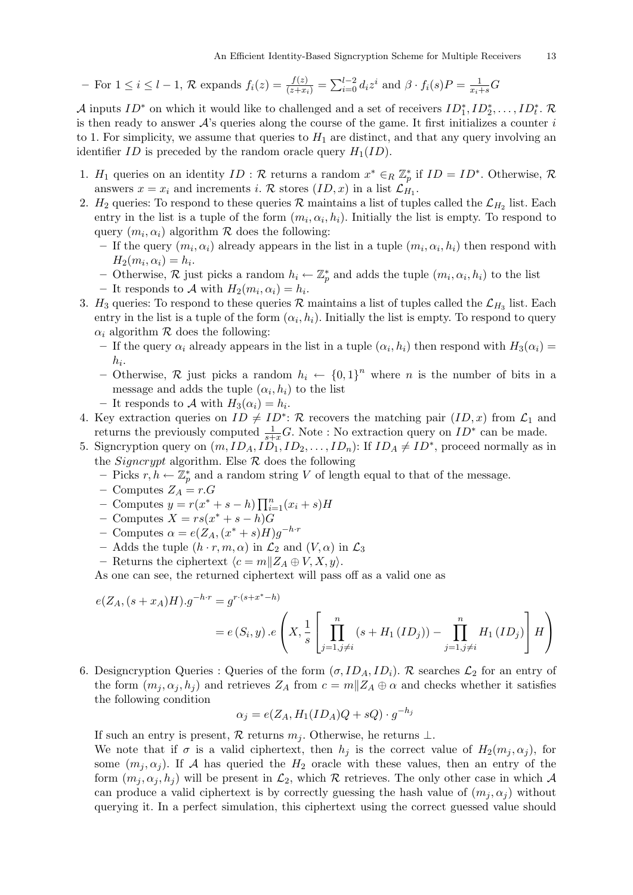- For 
$$
1 \leq i \leq l-1
$$
,  $\mathcal{R}$  expands  $f_i(z) = \frac{f(z)}{(z+x_i)} = \sum_{i=0}^{l-2} d_i z^i$  and  $\beta \cdot f_i(s)P = \frac{1}{x_i+s}G$ 

A inputs  $ID^*$  on which it would like to challenged and a set of receivers  $ID_1^*, ID_2^*, \ldots, ID_t^*$ . is then ready to answer  $\mathcal{A}$ 's queries along the course of the game. It first initializes a counter i to 1. For simplicity, we assume that queries to  $H_1$  are distinct, and that any query involving an identifier ID is preceded by the random oracle query  $H_1(ID)$ .

- 1.  $H_1$  queries on an identity  $ID : \mathcal{R}$  returns a random  $x^* \in_R \mathbb{Z}_p^*$  if  $ID = ID^*$ . Otherwise,  $\mathcal{R}$ answers  $x = x_i$  and increments i. R stores  $(ID, x)$  in a list  $\mathcal{L}_{H_1}$ .
- 2.  $H_2$  queries: To respond to these queries R maintains a list of tuples called the  $\mathcal{L}_{H_2}$  list. Each entry in the list is a tuple of the form  $(m_i, \alpha_i, h_i)$ . Initially the list is empty. To respond to query  $(m_i, \alpha_i)$  algorithm  $R$  does the following:
	- If the query  $(m_i, \alpha_i)$  already appears in the list in a tuple  $(m_i, \alpha_i, h_i)$  then respond with  $H_2(m_i, \alpha_i) = h_i.$
	- − Otherwise, R just picks a random  $h_i \leftarrow \mathbb{Z}_p^*$  and adds the tuple  $(m_i, \alpha_i, h_i)$  to the list
	- It responds to A with  $H_2(m_i, \alpha_i) = h_i$ .
- 3.  $H_3$  queries: To respond to these queries R maintains a list of tuples called the  $\mathcal{L}_{H_3}$  list. Each entry in the list is a tuple of the form  $(\alpha_i, h_i)$ . Initially the list is empty. To respond to query  $\alpha_i$  algorithm  $\mathcal R$  does the following:
	- If the query  $\alpha_i$  already appears in the list in a tuple  $(\alpha_i, h_i)$  then respond with  $H_3(\alpha_i)$  =  $h_i.$
	- Otherwise,  $\mathcal R$  just picks a random  $h_i \leftarrow \{0,1\}^n$  where n is the number of bits in a message and adds the tuple  $(\alpha_i, h_i)$  to the list
	- It responds to A with  $H_3(\alpha_i) = h_i$ .
- 4. Key extraction queries on  $ID \neq ID^*$ : R recovers the matching pair  $(ID, x)$  from  $\mathcal{L}_1$  and returns the previously computed  $\frac{1}{s+x}G$ . Note : No extraction query on  $ID^*$  can be made.
- 5. Signcryption query on  $(m, ID_A, ID_1, ID_2, \ldots, ID_n)$ : If  $ID_A \neq ID^*$ , proceed normally as in the *Signcrypt* algorithm. Else  $\mathcal R$  does the following
	- Picks  $r, h \leftarrow \mathbb{Z}_p^*$  and a random string V of length equal to that of the message.
	- Computes  $Z_A = r.G$
	- Computes  $y = r(x^* + s h) \prod_{i=1}^{n} (x_i + s)$ *H*
	- $-$  Computes  $X = rs(x^* + s h)\tilde{G}$
	- Computes  $\alpha = e(Z_A, (x^* + s)H)g^{-h \cdot r}$
	- Adds the tuple  $(h \cdot r, m, \alpha)$  in  $\mathcal{L}_2$  and  $(V, \alpha)$  in  $\mathcal{L}_3$
	- Returns the ciphertext  $\langle c = m \| Z_A \oplus V, X, y \rangle$ .

As one can see, the returned ciphertext will pass off as a valid one as

$$
e(Z_A, (s + x_A)H).g^{-h \cdot r} = g^{r \cdot (s + x^* - h)}
$$
  
=  $e(S_i, y) \cdot e\left(X, \frac{1}{s} \left[\prod_{j=1, j \neq i}^n (s + H_1(ID_j)) - \prod_{j=1, j \neq i}^n H_1(ID_j)\right]H\right)$ 

6. Designcryption Queries : Queries of the form  $(\sigma, ID_A, ID_i)$ . R searches  $\mathcal{L}_2$  for an entry of the form  $(m_j, \alpha_j, h_j)$  and retrieves  $Z_A$  from  $c = m||Z_A \oplus \alpha$  and checks whether it satisfies the following condition

$$
\alpha_j = e(Z_A, H_1(ID_A)Q + sQ) \cdot g^{-h_j}
$$

If such an entry is present, R returns  $m_i$ . Otherwise, he returns  $\perp$ .

We note that if  $\sigma$  is a valid ciphertext, then  $h_i$  is the correct value of  $H_2(m_i, \alpha_i)$ , for some  $(m_i, \alpha_i)$ . If A has queried the  $H_2$  oracle with these values, then an entry of the form  $(m_i, \alpha_i, h_i)$  will be present in  $\mathcal{L}_2$ , which R retrieves. The only other case in which A can produce a valid ciphertext is by correctly guessing the hash value of  $(m_i, \alpha_i)$  without querying it. In a perfect simulation, this ciphertext using the correct guessed value should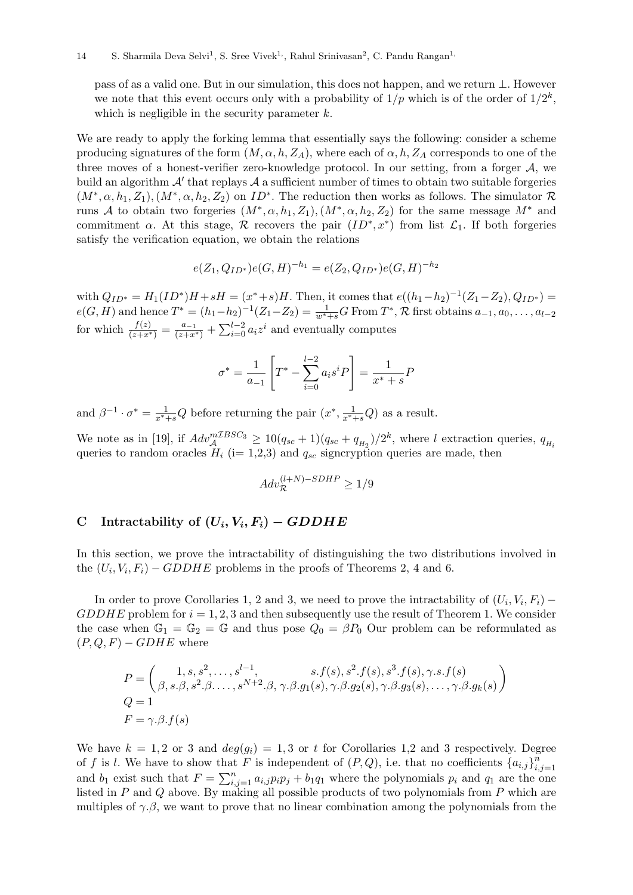pass of as a valid one. But in our simulation, this does not happen, and we return ⊥. However we note that this event occurs only with a probability of  $1/p$  which is of the order of  $1/2^k$ , which is negligible in the security parameter  $k$ .

We are ready to apply the forking lemma that essentially says the following: consider a scheme producing signatures of the form  $(M, \alpha, h, Z_A)$ , where each of  $\alpha, h, Z_A$  corresponds to one of the three moves of a honest-verifier zero-knowledge protocol. In our setting, from a forger A, we build an algorithm  $A'$  that replays  $A$  a sufficient number of times to obtain two suitable forgeries  $(M^*, \alpha, h_1, Z_1), (M^*, \alpha, h_2, Z_2)$  on  $ID^*$ . The reduction then works as follows. The simulator  $\mathcal R$ runs A to obtain two forgeries  $(M^*, \alpha, h_1, Z_1), (M^*, \alpha, h_2, Z_2)$  for the same message  $M^*$  and commitment  $\alpha$ . At this stage,  $\mathcal R$  recovers the pair  $(ID^*, x^*)$  from list  $\mathcal L_1$ . If both forgeries satisfy the verification equation, we obtain the relations

$$
e(Z_1, Q_{ID^*})e(G, H)^{-h_1} = e(Z_2, Q_{ID^*})e(G, H)^{-h_2}
$$

with  $Q_{ID^*} = H_1(ID^*)H + sH = (x^*+s)H$ . Then, it comes that  $e((h_1-h_2)^{-1}(Z_1-Z_2), Q_{ID^*}) =$  $e(G, H)$  and hence  $T^* = (h_1 - h_2)^{-1} (Z_1 - Z_2) = \frac{1}{w^* + s} G$  From  $T^*, \mathcal{R}$  first obtains  $a_{-1}, a_0, \ldots, a_{l-2}$ for which  $\frac{f(z)}{(z+x^*)} = \frac{a_{-1}}{(z+x^*)} + \sum_{i=0}^{l-2} a_i z^i$  and eventually computes

$$
\sigma^* = \frac{1}{a_{-1}} \left[ T^* - \sum_{i=0}^{l-2} a_i s^i P \right] = \frac{1}{x^* + s} P
$$

and  $\beta^{-1} \cdot \sigma^* = \frac{1}{x^*+s}Q$  before returning the pair  $(x^*, \frac{1}{x^*+s}Q)$  as a result.

We note as in [19], if  $Adv_{\mathcal{A}}^{mZBSC_3} \geq 10(q_{sc}+1)(q_{sc}+q_{H_2})/2^k$ , where l extraction queries,  $q_{H_i}$ queries to random oracles  $H_i$  (i= 1,2,3) and  $q_{sc}$  signcryption queries are made, then

$$
Adv_{\mathcal{R}}^{(l+N)-SDHP} \ge 1/9
$$

# C Intractability of  $(U_i, V_i, F_i) - GDDHE$

In this section, we prove the intractability of distinguishing the two distributions involved in the  $(U_i, V_i, F_i) - GDDHE$  problems in the proofs of Theorems 2, 4 and 6.

In order to prove Corollaries 1, 2 and 3, we need to prove the intractability of  $(U_i, V_i, F_i)$  –  $GDDHE$  problem for  $i = 1, 2, 3$  and then subsequently use the result of Theorem 1. We consider the case when  $\mathbb{G}_1 = \mathbb{G}_2 = \mathbb{G}$  and thus pose  $Q_0 = \beta P_0$  Our problem can be reformulated as  $(P, Q, F) - GDHE$  where

$$
P = \begin{pmatrix} 1, s, s^2, \dots, s^{l-1}, & s \cdot f(s), s^2 \cdot f(s), s^3 \cdot f(s), \gamma \cdot s \cdot f(s) \\ \beta, s \cdot \beta, s^2 \cdot \beta \cdot \dots, s^{N+2} \cdot \beta, \gamma \cdot \beta \cdot g_1(s), \gamma \cdot \beta \cdot g_2(s), \gamma \cdot \beta \cdot g_3(s), \dots, \gamma \cdot \beta \cdot g_k(s) \end{pmatrix}
$$
  
\n
$$
Q = 1
$$
  
\n
$$
F = \gamma \cdot \beta \cdot f(s)
$$

We have  $k = 1, 2$  or 3 and  $deg(g_i) = 1, 3$  or t for Corollaries 1,2 and 3 respectively. Degree of f is l. We have to show that F is independent of  $(P,Q)$ , i.e. that no coefficients  $\{a_{i,j}\}_{i=1}^n$  $i,j=1$ and  $b_1$  exist such that  $F = \sum_{i,j=1}^n a_{i,j} p_i p_j + b_1 q_1$  where the polynomials  $p_i$  and  $q_1$  are the one listed in P and Q above. By making all possible products of two polynomials from P which are multiples of  $\gamma \beta$ , we want to prove that no linear combination among the polynomials from the